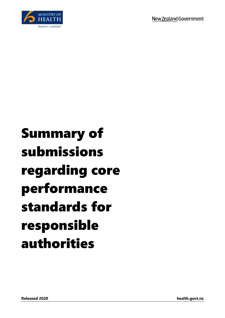

# Summary of submissions regarding core performance standards for responsible authorities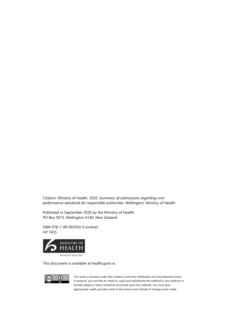Citation: Ministry of Health. 2020. *Summary of submissions regarding core performance standards for responsible authorities*. Wellington: Ministry of Health.

Published in September 2020 by the Ministry of Health PO Box 5013, Wellington 6140, New Zealand

ISBN 978-1-99-002934-9 (online) HP 7455



This document is available at health.govt.nz



This work is licensed under the Creative Commons Attribution 4.0 International licence. In essence, you are free to: share ie, copy and redistribute the material in any medium or format; adapt ie, remix, transform and build upon the material. You must give appropriate credit, provide a link to the licence and indicate if changes were made.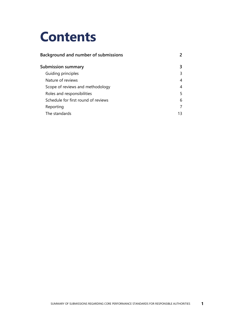# **Contents**

| Background and number of submissions |    |
|--------------------------------------|----|
| <b>Submission summary</b>            | 3  |
| Guiding principles                   | 3  |
| Nature of reviews                    | 4  |
| Scope of reviews and methodology     | 4  |
| Roles and responsibilities           | 5  |
| Schedule for first round of reviews  | 6  |
| Reporting                            |    |
| The standards                        | 13 |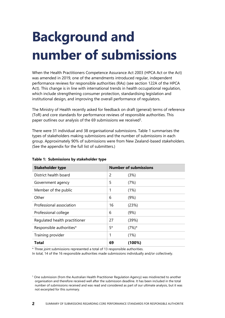# <span id="page-3-0"></span>**Background and number of submissions**

When the Health Practitioners Competence Assurance Act 2003 (HPCA Act or the Act) was amended in 2019, one of the amendments introduced regular, independent performance reviews for responsible authorities (RAs) (see section 122A of the HPCA Act). This change is in line with international trends in health occupational regulation, which include strengthening consumer protection, standardising legislation and institutional design, and improving the overall performance of regulators.

The Ministry of Health recently asked for feedback on draft (general) terms of reference (ToR) and core standards for performance reviews of responsible authorities. This paper outlines our analysis of the 69 submissions we received<sup>1</sup>.

There were 31 individual and 38 organisational submissions. Table 1 summarises the types of stakeholders making submissions and the number of submissions in each group. Approximately 90% of submissions were from New Zealand-based stakeholders. (See the appendix for the full list of submitters.)

| <b>Stakeholder type</b>       | <b>Number of submissions</b> |          |  |
|-------------------------------|------------------------------|----------|--|
| District health board         | 2                            | (3%)     |  |
| Government agency             | 5                            | (7%)     |  |
| Member of the public          | 1                            | (1%)     |  |
| Other                         | 6                            | (9%)     |  |
| Professional association      | 16                           | (23%)    |  |
| Professional college          | 6                            | (9%)     |  |
| Regulated health practitioner | 27                           | (39%)    |  |
| Responsible authorities*      | 5*                           | $(7%)^*$ |  |
| Training provider             | 1                            | (1%)     |  |
| Total                         | 69                           | (100%)   |  |

#### **Table 1: Submissions by stakeholder type**

\* Three joint submissions represented a total of 13 responsible authorities.

In total, 14 of the 16 responsible authorities made submissions individually and/or collectively.

<sup>1</sup> One submission (from the Australian Health Practitioner Regulation Agency) was misdirected to another organisation and therefore received well after the submission deadline. It has been included in the total number of submissions received and was read and considered as part of our ultimate analysis, but it was not excerpted for this summary.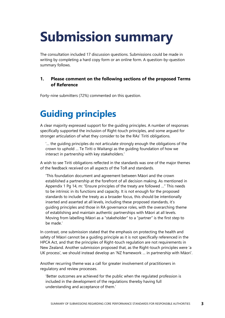# <span id="page-4-0"></span>**Submission summary**

The consultation included 17 discussion questions. Submissions could be made in writing by completing a hard copy form or an online form. A question-by-question summary follows.

## **1. Please comment on the following sections of the proposed Terms of Reference**

<span id="page-4-1"></span>Forty-nine submitters (72%) commented on this question.

# **Guiding principles**

A clear majority expressed support for the guiding principles. A number of responses specifically supported the inclusion of Right-touch principles, and some argued for stronger articulation of what they consider to be the RAs' Tiriti obligations.

'… the guiding principles do not articulate strongly enough the obligations of the crown to uphold … Te Tiriti o Waitangi as the guiding foundation of how we interact in partnership with key stakeholders.'

A wish to see Tiriti obligations reflected in the standards was one of the major themes of the feedback received on all aspects of the ToR and standards.

'This foundation document and agreement between Māori and the crown established a partnership at the forefront of all decision making. As mentioned in Appendix 1 Pg 14, m: "Ensure principles of the treaty are followed …" This needs to be intrinsic in its functions and capacity. It is not enough for the proposed standards to include the treaty as a broader focus, this should be intentionally inserted and asserted at all levels, including these proposed standards, it's guiding principles and those in RA governance roles, with the overarching theme of establishing and maintain authentic partnerships with Māori at all levels. Moving from labelling Māori as a "stakeholder" to a "partner" is the first step to be made.'

In contrast, one submission stated that the emphasis on protecting the health and safety of Māori cannot be a guiding principle as it is not specifically referenced in the HPCA Act, and that the principles of Right-touch regulation are not requirements in New Zealand. Another submission proposed that, as the Right-touch principles were 'a UK process', we should instead develop an 'NZ framework … in partnership with Māori'.

Another recurring theme was a call for greater involvement of practitioners in regulatory and review processes.

'Better outcomes are achieved for the public when the regulated profession is included in the development of the regulations thereby having full understanding and acceptance of them.'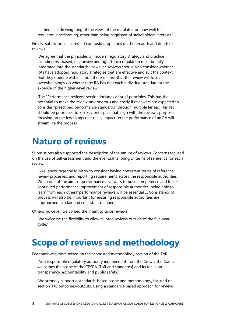'… there is little weighting of the views of the regulated on how well the regulator is performing, other than being cognisant of stakeholders interests.'

Finally, submissions expressed contrasting opinions on the breadth and depth of reviews.

'We agree that the principles of modern regulatory strategy and practice including risk based, responsive and right touch regulation must be fully integrated into the standards. However, reviews should also consider whether RAs have adopted regulatory strategies that are effective and suit the context that they operate within. If not, there is a risk that the review will focus overwhelmingly on whether the RA has met each individual standard at the expense of the higher-level review.'

'The "Performance reviews" section includes a list of principles. This has the potential to make the review task onerous and costly if reviewers are expected to consider "prescribed performance standards" through multiple lenses. This list should be prioritised to 3-5 key principles that align with the review's purpose; focusing on the few things that really impact on the performance of an RA will streamline the process.'

## <span id="page-5-0"></span>**Nature of reviews**

Submissions also supported the description of the nature of reviews. Concerns focused on the use of self-assessment and the eventual tailoring of terms of reference for each review.

'[We] encourage the Ministry to consider having consistent terms of reference, review processes, and reporting requirements across the responsible authorities. When one of the aims of performance reviews is to build competence and foster continued performance improvement of responsible authorities, being able to learn from each others' performance reviews will be essential … Consistency of process will also be important for ensuring responsible authorities are approached in a fair and consistent manner.'

Others, however, welcomed the intent to tailor reviews.

'We welcome the flexibility to allow tailored reviews outside of the five-year cycle.'

# <span id="page-5-1"></span>**Scope of reviews and methodology**

Feedback was more mixed on the scope and methodology section of the ToR.

'As a responsible regulatory authority independent from the Crown, the Council welcomes the scope of the CPSRA [ToR and standards] and its focus on transparency, accountability and public safety.'

'We strongly support a standards-based scope and methodology, focused on section 118 outcomes/outputs. Using a standards-based approach for reviews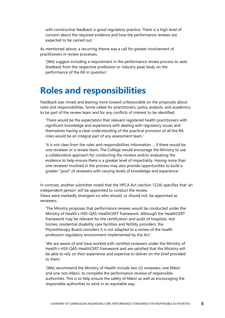with constructive feedback is good regulatory practice. There is a high level of concern about the required evidence and how the performance reviews are expected to be carried out.'

As mentioned above, a recurring theme was a call for greater involvement of practitioners in review processes.

'[We] suggest including a requirement in the performance review process to seek feedback from the respective profession or industry peak body on the performance of the RA in question.'

## <span id="page-6-0"></span>**Roles and responsibilities**

Feedback was mixed and leaning more toward unfavourable on the proposals about roles and responsibilities. Some called for practitioners, policy analysts, and academics to be part of the review team and for any conflicts of interest to be identified.

'There would be the expectation that relevant registered health practitioners with significant knowledge and experience with dealing with regulatory issues and themselves having a clear understanding of the practical provision of all the RA roles would be an integral part of any assessment team.'

'It is not clear from the roles and responsibilities information … if there would be one reviewer or a review team. The College would encourage the Ministry to use a collaborative approach for conducting the reviews and/or evaluating the evidence to help ensure there is a greater level of impartiality. Having more than one reviewer involved in the process may also provide opportunities to build a greater "pool" of reviewers with varying levels of knowledge and experience.'

In contrast, another submitter noted that the HPCA Act (section 122A) specifies that 'an independent person' will be appointed to conduct the review. Views were markedly divergent on who should, or should not, be appointed as reviewers.

'The Ministry proposes that performance reviews would be conducted under the Ministry of Health's HSII-QAS-HealthCERT framework. Although the HealthCERT framework may be relevant for the certification and audit of hospitals, rest homes, residential disability care facilities and fertility providers, the Physiotherapy Board considers it is not adapted to a review of the health profession regulatory environment implemented by the Act.'

'We are aware of and have worked with certified reviewers under the Ministry of Health's HSII-QAS-HealthCERT framework and are satisfied that the Ministry will be able to rely on their experience and expertise to deliver on the brief provided to them.'

'[We] recommend the Ministry of Health include two (2) reviewers, one Māori and one non-Māori, to complete the performance reviews of responsible authorities. This is to help ensure the safety of Māori as well as encouraging the responsible authorities to work in an equitable way.'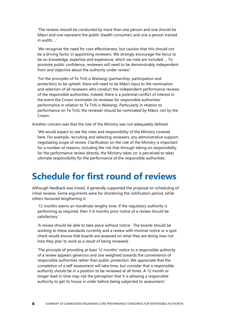'The reviews should be conducted by more than one person and one should be Māori and one represent the public (health consumer) and one a person trained in audits …'

'We recognise the need for cost-effectiveness, but caution that this should not be a driving factor in appointing reviewers. We strongly encourage the focus to be on knowledge, expertise and experience, which we note are included … To promote public confidence, reviewers will need to be demonstrably independent from and objective about the authority under review.'

'For the principles of Te Tiriti o Waitangi (partnership, participation and protection) to be upheld, there will need to be Māori input to the nomination and selection of all reviewers who conduct the independent performance reviews of the responsible authorities. Indeed, there is a potential conflict of interest in the event the Crown nominates its reviewer for responsible authorities' performance in relation to Te Tiriti o Waitangi. Particularly in relation to performance on Te Tiriti, the reviewer should be nominated by Māori, not by the Crown.'

Another concern was that the role of the Ministry was not adequately defined.

'We would expect to see the roles and responsibility of the Ministry covered here. For example, recruiting and selecting reviewers, any administrative support, negotiating scope of review. Clarification on the role of the Ministry is important for a number of reasons, including the risk that through taking on responsibility for the performance review directly, the Ministry takes (or is perceived to take) ultimate responsibility for the performance of the responsible authorities.'

## <span id="page-7-0"></span>**Schedule for first round of reviews**

Although feedback was mixed, it generally supported the proposal on scheduling of initial reviews. Some arguments were for shortening the notification period, while others favoured lengthening it.

'12 months seems an inordinate lengthy time. If the regulatory authority is performing as required, then 3-6 months prior notice of a review should be satisfactory.'

'A review should be able to take place without notice. The boards should be working to these standards currently and a review with minimal notice or a spot check would ensure that boards are assessed on what they are doing now not how they plan to work as a result of being reviewed.'

'The principle of providing at least 12 months' notice to a responsible authority of a review appears generous and one weighted towards the convenience of responsible authorities rather than public protection. We appreciate that the completion of a self-assessment will take time, but consider that a responsible authority should be in a position to be reviewed at all times. A 12 month or longer lead-in time may risk the perception that it is allowing a responsible authority to get its house in order before being subjected to assessment.'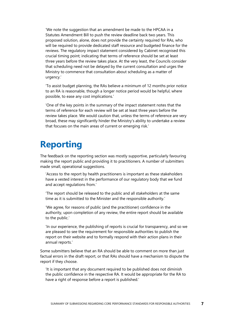'We note the suggestion that an amendment be made to the HPCAA in a Statutes Amendment Bill to push the review deadline back two years. This proposed solution, alone, does not provide the certainty required for RAs, who will be required to provide dedicated staff resource and budgeted finance for the reviews. The regulatory impact statement considered by Cabinet recognised this crucial timing point; indicating that terms of reference should be set at least three years before the review takes place. At the very least, the Councils consider that scheduling need not be delayed by the current consultation and urges the Ministry to commence that consultation about scheduling as a matter of urgency.'

'To assist budget planning, the RAs believe a minimum of 12 months prior notice to an RA is reasonable, though a longer notice period would be helpful, where possible, to ease any cost implications.'

'One of the key points in the summary of the impact statement notes that the terms of reference for each review will be set at least three years before the review takes place. We would caution that, unless the terms of reference are very broad, these may significantly hinder the Ministry's ability to undertake a review that focuses on the main areas of current or emerging risk.'

# <span id="page-8-0"></span>**Reporting**

The feedback on the reporting section was mostly supportive, particularly favouring making the report public and providing it to practitioners. A number of submitters made small, operational suggestions.

'Access to the report by health practitioners is important as these stakeholders have a vested interest in the performance of our regulatory body that we fund and accept regulations from.'

'The report should be released to the public and all stakeholders at the same time as it is submitted to the Minister and the responsible authority.'

'We agree, for reasons of public (and the practitioner) confidence in the authority, upon completion of any review, the entire report should be available to the public.'

'In our experience, the publishing of reports is crucial for transparency, and so we are pleased to see the requirement for responsible authorities to publish the report on their website and to formally respond with their action plans in their annual reports.'

Some submitters believe that an RA should be able to comment on more than just factual errors in the draft report, or that RAs should have a mechanism to dispute the report if they choose.

'It is important that any document required to be published does not diminish the public confidence in the respective RA. It would be appropriate for the RA to have a right of response before a report is published.'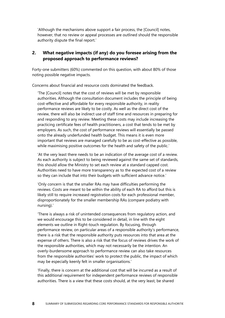'Although the mechanisms above support a fair process, the [Council] notes, however, that no review or appeal processes are outlined should the responsible authority dispute the final report.'

### **2. What negative impacts (if any) do you foresee arising from the proposed approach to performance reviews?**

Forty-one submitters (60%) commented on this question, with about 80% of those noting possible negative impacts.

Concerns about financial and resource costs dominated the feedback.

'The [Council] notes that the cost of reviews will be met by responsible authorities. Although the consultation document includes the principle of being cost-effective and affordable for every responsible authority, in reality performance reviews are likely to be costly. As well as the direct cost of the review, there will also be indirect use of staff time and resources in preparing for and responding to any review. Meeting these costs may include increasing the practicing certificate fees of health practitioners, a cost that tends to be met by employers. As such, the cost of performance reviews will essentially be passed onto the already underfunded health budget. This means it is even more important that reviews are managed carefully to be as cost-effective as possible, while maximising positive outcomes for the health and safety of the public.'

'At the very least there needs to be an indication of the average cost of a review. As each authority is subject to being reviewed against the same set of standards, this should allow the Ministry to set each review at a standard capped cost. Authorities need to have more transparency as to the expected cost of a review so they can include that into their budgets with sufficient advance notice.'

'Only concern is that the smaller RAs may have difficulties performing the reviews. Costs are meant to be within the ability of each RA to afford but this is likely still to require increased registration costs for each professional member, disproportionately for the smaller membership RAs (compare podiatry with nursing).'

'There is always a risk of unintended consequences from regulatory action, and we would encourage this to be considered in detail, in line with the eight elements we outline in Right-touch regulation. By focusing, through performance review, on particular areas of a responsible authority's performance, there is a risk that the responsible authority puts resources into that area at the expense of others. There is also a risk that the focus of reviews drives the work of the responsible authorities, which may not necessarily be the intention. An overly-burdensome approach to performance review can also take resources from the responsible authorities' work to protect the public, the impact of which may be especially keenly felt in smaller organisations.'

'Finally, there is concern at the additional cost that will be incurred as a result of this additional requirement for independent performance reviews of responsible authorities. There is a view that these costs should, at the very least, be shared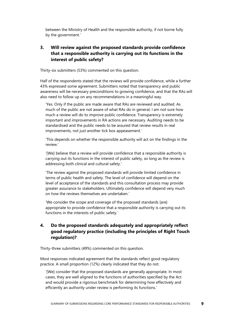between the Ministry of Health and the responsible authority, if not borne fully by the government.'

## **3. Will review against the proposed standards provide confidence that a responsible authority is carrying out its functions in the interest of public safety?**

Thirty-six submitters (53%) commented on this question.

Half of the respondents stated that the reviews will provide confidence, while a further 43% expressed some agreement. Submitters noted that transparency and public awareness will be necessary preconditions to growing confidence, and that the RAs will also need to follow up on any recommendations in a meaningful way.

'Yes. Only if the public are made aware that RAs are reviewed and audited. As much of the public are not aware of what RAs do in general, I am not sure how much a review will do to improve public confidence. Transparency is extremely important and improvements in RA actions are necessary. Auditing needs to be standardised and the public needs to be assured that review results in real improvements, not just another tick box appeasement.'

'This depends on whether the responsible authority will act on the findings in the review.'

'[We] believe that a review will provide confidence that a responsible authority is carrying out its functions in the interest of public safety, so long as the review is addressing both clinical and cultural safety.'

'The review against the proposed standards will provide limited confidence in terms of public health and safety. The level of confidence will depend on the level of acceptance of the standards and this consultation process may provide greater assurance to stakeholders. Ultimately confidence will depend very much on how the reviews themselves are undertaken.'

'We consider the scope and coverage of the proposed standards [are] appropriate to provide confidence that a responsible authority is carrying out its functions in the interests of public safety.'

## **4. Do the proposed standards adequately and appropriately reflect good regulatory practice (including the principles of Right Touch regulation)?**

Thirty-three submitters (49%) commented on this question.

Most responses indicated agreement that the standards reflect good regulatory practice. A small proportion (12%) clearly indicated that they do not.

'[We] consider that the proposed standards are generally appropriate. In most cases, they are well aligned to the functions of authorities specified by the Act and would provide a rigorous benchmark for determining how effectively and efficiently an authority under review is performing its functions.'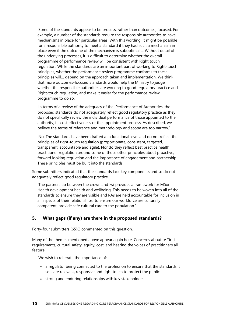'Some of the standards appear to be process, rather than outcomes, focused. For example, a number of the standards require the responsible authorities to have mechanisms in place for particular areas. With this wording, it might be possible for a responsible authority to meet a standard if they had such a mechanism in place even if the outcome of the mechanism is suboptimal … Without detail of the underlying processes, it is difficult to determine whether the overall programme of performance review will be consistent with Right touch regulation. While the standards are an important part of working to Right-touch principles, whether the performance review programme conforms to these principles will… depend on the approach taken and implementation. We think that more outcomes-focused standards would help the Ministry to judge whether the responsible authorities are working to good regulatory practice and Right-touch regulation, and make it easier for the performance review programme to do so.'

'In terms of a review of the adequacy of the 'Performance of Authorities' the proposed standards do not adequately reflect good regulatory practice as they do not specifically review the individual performance of those appointed to the authority, its cost effectiveness or the appointment process. As described, we believe the terms of reference and methodology and scope are too narrow.'

'No. The standards have been drafted at a functional level and do not reflect the principles of right-touch regulation (proportionate, consistent, targeted, transparent, accountable and agile). Nor do they reflect best practice health practitioner regulation around some of those other principles about proactive, forward looking regulation and the importance of engagement and partnership. These principles must be built into the standards.'

Some submitters indicated that the standards lack key components and so do not adequately reflect good regulatory practice.

'The partnership between the crown and Iwi provides a framework for Māori Health development health and wellbeing. This needs to be woven into all of the standards to ensure they are visible and RAs are held accountable for inclusion in all aspects of their relationships to ensure our workforce are culturally competent, provide safe cultural care to the population.'

#### **5. What gaps (if any) are there in the proposed standards?**

Forty-four submitters (65%) commented on this question.

Many of the themes mentioned above appear again here. Concerns about te Tiriti requirements, cultural safety, equity, cost, and hearing the voices of practitioners all feature.

'We wish to reiterate the importance of:

- a regulator being connected to the profession to ensure that the standards it sets are relevant, responsive and right touch to protect the public.
- strong and enduring relationships with key stakeholders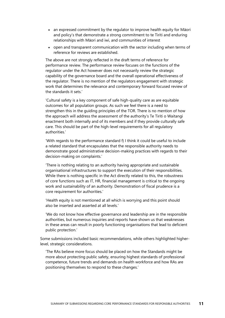- an expressed commitment by the regulator to improve health equity for Māori and policy's that demonstrate a strong commitment to te Tiriti and enduring relationships with Māori and iwi, and communities of interest
- open and transparent communication with the sector including when terms of reference for reviews are established.

The above are not strongly reflected in the draft terms of reference for performance review. The performance review focuses on the functions of the regulator under the Act however does not necessarily review the strategic capability of the governance board and the overall operational effectiveness of the regulator. There is no mention of the regulators engagement with strategic work that determines the relevance and contemporary forward focused review of the standards it sets.'

'Cultural safety is a key component of safe high-quality care as are equitable outcomes for all population groups. As such we feel there is a need to strengthen this in the guiding principles of the TOR. There is no mention of how the approach will address the assessment of the authority's Te Tiriti o Waitangi enactment both internally and of its members and if they provide culturally safe care. This should be part of the high-level requirements for all regulatory authorities.'

'With regards to the performance standard f) I think it could be useful to include a related standard that encapsulates that the responsible authority needs to demonstrate good administrative decision-making practices with regards to their decision-making on complaints.'

'There is nothing relating to an authority having appropriate and sustainable organisational infrastructures to support the execution of their responsibilities. While there is nothing specific in the Act directly related to this, the robustness of core functions such as IT, HR, financial management is critical to the ongoing work and sustainability of an authority. Demonstration of fiscal prudence is a core requirement for authorities.'

'Health equity is not mentioned at all which is worrying and this point should also be inserted and asserted at all levels.'

'We do not know how effective governance and leadership are in the responsible authorities, but numerous inquiries and reports have shown us that weaknesses in these areas can result in poorly functioning organisations that lead to deficient public protection.'

Some submissions included basic recommendations, while others highlighted higherlevel, strategic considerations.

'The RAs believe more focus should be placed on how the Standards might be more about protecting public safety, ensuring highest standards of professional competence, future trends and demands on health workforce and how RAs are positioning themselves to respond to these changes.'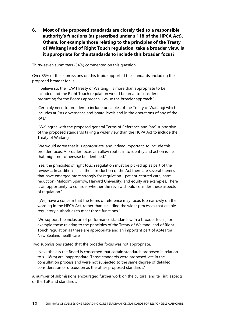**6. Most of the proposed standards are closely tied to a responsible authority's functions (as prescribed under s 118 of the HPCA Act). Others, for example those relating to the principles of the Treaty of Waitangi and of Right Touch regulation, take a broader view. Is it appropriate for the standards to include this broader focus?** 

Thirty-seven submitters (54%) commented on this question.

Over 85% of the submissions on this topic supported the standards, including the proposed broader focus.

'I believe so. the ToW [Treaty of Waitangi] is more than appropriate to be included and the Right Touch regulation would be great to consider in promoting for the Boards approach. I value the broader approach.'

'Certainly need to broaden to include principles of the Treaty of Waitangi which includes at RAs governance and board levels and in the operations of any of the RAs.'

'[We] agree with the proposed general Terms of Reference and [are] supportive of the proposed standards taking a wider view than the HCPA Act to include the Treaty of Waitangi.'

'We would agree that it is appropriate, and indeed important, to include this broader focus. A broader focus can allow routes in to identify and act on issues that might not otherwise be identified.'

'Yes, the principles of right touch regulation must be picked up as part of the review … In addition, since the introduction of the Act there are several themes that have emerged more strongly for regulation - patient-centred care, harm reduction (Malcolm Sparrow, Harvard University) and equity are examples. There is an opportunity to consider whether the review should consider these aspects of regulation.'

'[We] have a concern that the terms of reference may focus too narrowly on the wording in the HPCA Act, rather than including the wider processes that enable regulatory authorities to meet those functions.'

'We support the inclusion of performance standards with a broader focus, for example those relating to the principles of the Treaty of Waitangi and of Right Touch regulation as these are appropriate and an important part of Aotearoa New Zealand healthcare.'

Two submissions stated that the broader focus was not appropriate.

'Nevertheless the Board is concerned that certain standards proposed in relation to s.118(m) are inappropriate. Those standards were proposed late in the consultation process and were not subjected to the same degree of detailed consideration or discussion as the other proposed standards.'

A number of submissions encouraged further work on the cultural and te Tiriti aspects of the ToR and standards.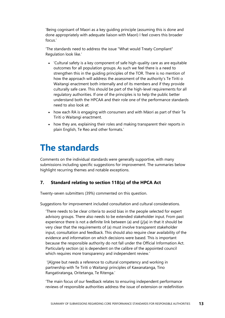'Being cognisant of Maori as a key guiding principle (assuming this is done and done appropriately with adequate liaison with Maori) I feel covers this broader focus.'

'The standards need to address the issue "What would Treaty Compliant" Regulation look like.'

- 'Cultural safety is a key component of safe high-quality care as are equitable outcomes for all population groups. As such we feel there is a need to strengthen this in the guiding principles of the TOR. There is no mention of how the approach will address the assessment of the authority's Te Tiriti o Waitangi enactment both internally and of its members and if they provide culturally safe care. This should be part of the high-level requirements for all regulatory authorities. If one of the principles is to help the public better understand both the HPCAA and their role one of the performance standards need to also look at:
- how each RA is engaging with consumers and with Māori as part of their Te Tiriti o Waitangi enactment.
- how they are, explaining their roles and making transparent their reports in plain English, Te Reo and other formats.'

# <span id="page-14-0"></span>**The standards**

Comments on the individual standards were generally supportive, with many submissions including specific suggestions for improvement. The summaries below highlight recurring themes and notable exceptions.

### **7. Standard relating to section 118(a) of the HPCA Act**

Twenty-seven submitters (39%) commented on this question.

Suggestions for improvement included consultation and cultural considerations.

'There needs to be clear criteria to avoid bias in the people selected for expert advisory groups. There also needs to be extended stakeholder input. From past experience there is not a definite link between (a) and (j/ja) in that it should be very clear that the requirements of (a) must involve transparent stakeholder input, consultation and feedback. This should also require clear availability of the evidence and information on which decisions were based. This is important because the responsible authority do not fall under the Official Information Act. Particularly section (a) is dependent on the calibre of the appointed council which requires more transparency and independent review.'

'[A]gree but needs a reference to cultural competency and working in partnership with Te Tiriti o Waitangi principles of Kawanatanga, Tino Rangatiratanga, Oritetanga, Te Ritenga.'

'The main focus of our feedback relates to ensuring independent performance reviews of responsible authorities address the issue of extension or redefinition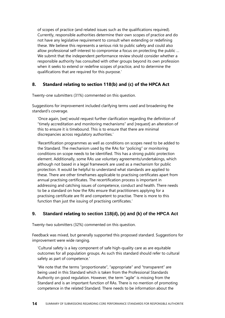of scopes of practice (and related issues such as the qualifications required). Currently, responsible authorities determine their own scopes of practice and do not have any legislative requirement to consult when extending or redefining these. We believe this represents a serious risk to public safety and could also allow professional self-interest to compromise a focus on protecting the public … We submit that the independent performance review should consider whether a responsible authority has consulted with other groups beyond its own profession when it seeks to extend or redefine scopes of practice, and to determine the qualifications that are required for this purpose.'

#### **8. Standard relating to section 118(b) and (c) of the HPCA Act**

Twenty-one submitters (31%) commented on this question.

Suggestions for improvement included clarifying terms used and broadening the standard's coverage.

'Once again, [we] would request further clarification regarding the definition of "timely accreditation and monitoring mechanisms" and [request] an alteration of this to ensure it is timebound. This is to ensure that there are minimal discrepancies across regulatory authorities.'

'Recertification programmes as well as conditions on scopes need to be added to the Standard. The mechanism used by the RAs for "policing" or monitoring conditions on scope needs to be identified. This has a strong public protection element. Additionally, some RAs use voluntary agreements/undertakings, which although not based in a legal framework are used as a mechanism for public protection. It would be helpful to understand what standards are applied to these. There are other timeframes applicable to practising certificates apart from annual practising certificates. The recertification process is important in addressing and catching issues of competence, conduct and health. There needs to be a standard on how the RAs ensure that practitioners applying for a practising certificate are fit and competent to practise. There is more to this function than just the issuing of practising certificates.'

### **9. Standard relating to section 118(d), (e) and (k) of the HPCA Act**

Twenty-two submitters (32%) commented on this question.

Feedback was mixed, but generally supported this proposed standard. Suggestions for improvement were wide ranging.

'Cultural safety is a key component of safe high-quality care as are equitable outcomes for all population groups. As such this standard should refer to cultural safety as part of competence.'

'We note that the terms "proportionate", "appropriate" and "transparent" are being used in this Standard which is taken from the Professional Standards Authority on good regulation. However, the term "agile" is missing from the Standard and is an important function of RAs. There is no mention of promoting competence in the related Standard. There needs to be information about the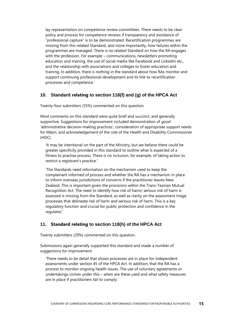lay representation on competence review committees. There needs to be clear policy and process for competence reviews if transparency and avoidance of "professional capture" is to be demonstrated. Recertification programmes are missing from this related Standard, and more importantly, how failures within the programmes are managed. There is no related Standard on how the RA engages with the profession. For example – communications, newsletters promoting education and training, the use of social media like Facebook and LinkedIn etc., and the relationship with associations and colleges to foster education and training. In addition, there is nothing in the standard about how RAs monitor and support continuing professional development and its link to recertification processes and competence.'

#### **10. Standard relating to section 118(f) and (g) of the HPCA Act**

Twenty-four submitters (35%) commented on this question.

Most comments on this standard were quite brief and succinct, and generally supportive. Suggestions for improvement included demonstration of good 'administrative decision-making practices', consideration of appropriate support needs for Māori, and acknowledgement of the role of the Health and Disability Commissioner (HDC).

'It may be intentional on the part of the Ministry, but we believe there could be greater specificity provided in this standard to outline what is expected of a fitness to practise process. There is no inclusion, for example, of taking action to restrict a registrant's practice.'

'The Standards need information on the mechanism used to keep the complainant informed of process and whether the RA has a mechanism in place to inform overseas jurisdictions of concerns if the practitioner leaves New Zealand. This is important given the provisions within the Trans-Tasman Mutual Recognition Act. The need to identify how risk of harm/ serious risk of harm is assessed is missing from the Standard, as well as clarity on the assessment triage processes that delineate risk of harm and serious risk of harm. This is a key regulatory function and crucial for public protection and confidence in the regulator.'

#### **11. Standard relating to section 118(h) of the HPCA Act**

Twenty submitters (29%) commented on this question.

Submissions again generally supported this standard and made a number of suggestions for improvement.

'There needs to be detail that shows processes are in place for independent assessments under section 45 of the HPCA Act. In addition, that the RA has a process to monitor ongoing health issues. The use of voluntary agreements or undertakings comes under this – when are these used and what safety measures are in place if practitioners fail to comply.'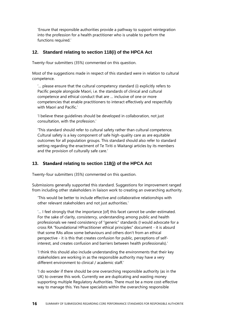'Ensure that responsible authorities provide a pathway to support reintegration into the profession for a health practitioner who is unable to perform the functions required.'

#### **12. Standard relating to section 118(i) of the HPCA Act**

Twenty-four submitters (35%) commented on this question.

Most of the suggestions made in respect of this standard were in relation to cultural competence.

'… please ensure that the cultural competency standard (i) explicitly refers to Pacific people alongside Maori, i.e. the standards of clinical and cultural competence and ethical conduct that are … inclusive of one or more competencies that enable practitioners to interact effectively and respectfully with Maori and Pacific.'

'I believe these guidelines should be developed in collaboration, not just consultation, with the profession.'

'This standard should refer to cultural safety rather than cultural competence. Cultural safety is a key component of safe high-quality care as are equitable outcomes for all population groups. This standard should also refer to standard setting regarding the enactment of Te Tiriti o Waitangi articles by its members and the provision of culturally safe care.'

#### **13. Standard relating to section 118(j) of the HPCA Act**

Twenty-four submitters (35%) commented on this question.

Submissions generally supported this standard. Suggestions for improvement ranged from including other stakeholders in liaison work to creating an overarching authority.

'This would be better to include effective and collaborative relationships with other relevant stakeholders and not just authorities.'

'… I feel strongly that the importance [of] this facet cannot be under-estimated. For the sake of clarity, consistency, understanding among public and health professionals we need consistency of "generic" standards (I would advocate for a cross RA "foundational HPractitioner ethical principles" document - it is absurd that some RAs allow some behaviours and others don't from an ethical perspective - it is this that creates confusion for public, perceptions of selfinterest, and creates confusion and barriers between health professionals).'

'I think this should also include understanding the environments that their key stakeholders are working in as the responsible authority may have a very different environment to clinical / academic staff.'

'I do wonder if there should be one overarching responsible authority (as in the UK) to oversee this work. Currently we are duplicating and wasting money supporting multiple Regulatory Authorities. There must be a more cost-effective way to manage this. Yes have specialists within the overarching responsible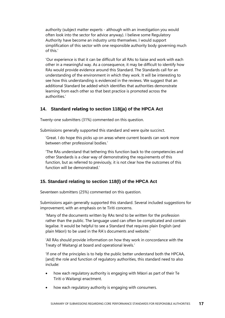authority (subject matter experts - although with an investigation you would often look into the sector for advice anyway). I believe some Regulatory Authority have become an industry unto themselves. I would support simplification of this sector with one responsible authority body governing much of this.'

'Our experience is that it can be difficult for all RAs to liaise and work with each other in a meaningful way. As a consequence, it may be difficult to identify how RAs would provide evidence around this Standard. The Standards call for an understanding of the environment in which they work. It will be interesting to see how this understanding is evidenced in the reviews. We suggest that an additional Standard be added which identifies that authorities demonstrate learning from each other so that best practice is promoted across the authorities.'

### **14. Standard relating to section 118(ja) of the HPCA Act**

Twenty-one submitters (31%) commented on this question.

Submissions generally supported this standard and were quite succinct.

'Great. I do hope this picks up on areas where current boards can work more between other professional bodies.'

'The RAs understand that tethering this function back to the competencies and other Standards is a clear way of demonstrating the requirements of this function, but as referred to previously, it is not clear how the outcomes of this function will be demonstrated.'

## **15. Standard relating to section 118(l) of the HPCA Act**

Seventeen submitters (25%) commented on this question.

Submissions again generally supported this standard. Several included suggestions for improvement, with an emphasis on te Tiriti concerns.

'Many of the documents written by RAs tend to be written for the profession rather than the public. The language used can often be complicated and contain legalise. It would be helpful to see a Standard that requires plain English (and plain Māori) to be used in the RA's documents and website.'

'All RAs should provide information on how they work in concordance with the Treaty of Waitangi at board and operational levels.'

'If one of the principles is to help the public better understand both the HPCAA, [and] the role and function of regulatory authorities, this standard need to also include:

- how each regulatory authority is engaging with Māori as part of their Te Tiriti o Waitangi enactment.
- how each regulatory authority is engaging with consumers.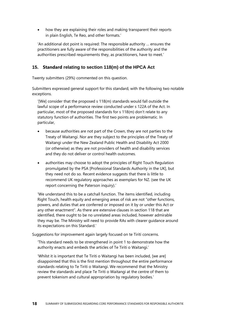• how they are explaining their roles and making transparent their reports in plain English, Te Reo, and other formats.'

'An additional dot point is required: The responsible authority … ensures the practitioners are fully aware of the responsibilities of the authority and the authorities prescribed requirements they, as practitioners, have to meet.'

#### **15. Standard relating to section 118(m) of the HPCA Act**

Twenty submitters (29%) commented on this question.

Submitters expressed general support for this standard, with the following two notable exceptions.

'[We] consider that the proposed s 118(m) standards would fall outside the lawful scope of a performance review conducted under s 122A of the Act. In particular, most of the proposed standards for s 118(m) don't relate to any statutory function of authorities. The first two points are problematic. In particular,

- because authorities are not part of the Crown, they are not parties to the Treaty of Waitangi. Nor are they subject to the principles of the Treaty of Waitangi under the New Zealand Public Health and Disability Act 2000 (or otherwise) as they are not providers of health and disability services and they do not deliver or control health outcomes.
- authorities may choose to adopt the principles of Right Touch Regulation promulgated by the PSA [Professional Standards Authority in the UK], but they need not do so. Recent evidence suggests that there is little to recommend UK regulatory approaches as exemplars for NZ. (see the UK report concerning the Paterson inquiry).'

'We understand this to be a catchall function. The items identified, including Right Touch, health equity and emerging areas of risk are not "other functions, powers, and duties that are conferred or imposed on it by or under this Act or any other enactment". As there are extensive clauses in section 118 that are identified, there ought to be no unrelated areas included, however admirable they may be. The Ministry will need to provide RAs with clearer guidance around its expectations on this Standard.'

Suggestions for improvement again largely focused on te Tiriti concerns.

'This standard needs to be strengthened in point 1 to demonstrate how the authority enacts and embeds the articles of Te Tiriti o Waitangi.'

'Whilst it is important that Te Tiriti o Waitangi has been included, [we are] disappointed that this is the first mention throughout the entire performance standards relating to Te Tiriti o Waitangi. We recommend that the Ministry review the standards and place Te Tiriti o Waitangi at the centre of them to prevent tokenism and cultural appropriation by regulatory bodies.'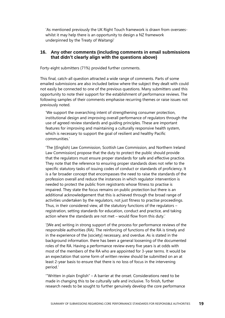'As mentioned previously the UK Right Touch framework is drawn from overseeswhilst it may help there is an opportunity to design a NZ framework underpinned by the Treaty of Waitangi'

#### **16. Any other comments (including comments in email submissions that didn't clearly align with the questions above)**

Forty-eight submitters (71%) provided further comments.

This final, catch-all question attracted a wide range of comments. Parts of some emailed submissions are also included below where the subject they dealt with could not easily be connected to one of the previous questions. Many submitters used this opportunity to note their support for the establishment of performance reviews. The following samples of their comments emphasise recurring themes or raise issues not previously noted.

'We support the overarching intent of strengthening consumer protection, institutional design and improving overall performance of regulators through the use of agreed review standards and guiding principles. These are important features for improving and maintaining a culturally responsive health system, which is necessary to support the goal of resilient and healthy Pacific communities.'

'The [(English) Law Commission, Scottish Law Commission, and Northern Ireland Law Commission] propose that the duty to protect the public should provide that the regulators must ensure proper standards for safe and effective practice. They note that the reference to ensuring proper standards does not refer to the specific statutory tasks of issuing codes of conduct or standards of proficiency. It is a far broader concept that encompasses the need to raise the standards of the profession overall and reduce the instances in which regulator intervention is needed to protect the public from registrants whose fitness to practise is impaired. They state the focus remains on public protection but there is an additional acknowledgement that this is achieved through the broad range of activities undertaken by the regulators, not just fitness to practise proceedings. Thus, in their considered view, all the statutory functions of the regulators – registration, setting standards for education, conduct and practice, and taking action where the standards are not met – would flow from this duty.'

'[We are] writing in strong support of the process for performance reviews of the responsible authorities (RA). The reinforcing of functions of the RA is timely and in the experience of the [society] necessary, and overdue. As is stated in the background information. there has been a general loosening of the documented roles of the RA. Having a performance review every five years is at odds with most of the members of the RA who are appointed for 3-year terms. It would be an expectation that some form of written review should be submitted on an at least 2-year basis to ensure that there is no loss of focus in the intervening period.'

'"Written in plain English" – A barrier at the onset. Considerations need to be made in changing this to be culturally safe and inclusive. To finish, further research needs to be sought to further genuinely develop the core performance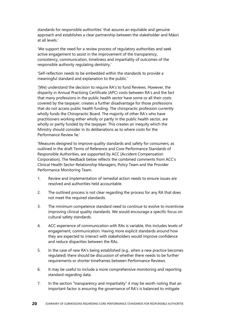standards for responsible authorities' that assures an equitable and genuine approach and establishes a clear partnership between the stakeholder and Māori at all levels.'

'We support the need for a review process of regulatory authorities and seek active engagement to assist in the improvement of the transparency, consistency, communication, timeliness and impartiality of outcomes of the responsible authority regulating dentistry.'

'Self-reflection needs to be embedded within the standards to provide a meaningful standard and explanation to the public.'

'[We] understand the decision to require RA's to fund Reviews. However, the disparity in Annual Practising Certificate (APC) costs between RA's and the fact that many professions in the public health sector have some or all their costs covered by the taxpayer, creates a further disadvantage for those professions that do not access public health funding. The chiropractic profession currently wholly funds the Chiropractic Board. The majority of other RA's who have practitioners working either wholly or partly in the public health sector, are wholly or partly funded by the taxpayer. This creates an inequity which the Ministry should consider in its deliberations as to where costs for the Performance Review lie.'

'Measures designed to improve quality standards and safety for consumers, as outlined in the draft Terms of Reference and Core Performance Standards of Responsible Authorities, are supported by ACC [Accident Compensation Corporation]. The feedback below reflects the combined comments from ACC's Clinical Health Sector Relationship Managers, Policy Team and the Provider Performance Monitoring Team.

- 1. Review and implementation of remedial action needs to ensure issues are resolved and authorities held accountable.
- 2. The outlined process is not clear regarding the process for any RA that does not meet the required standards.
- 3. The minimum competence standard need to continue to evolve to incentivise improving clinical quality standards. We would encourage a specific focus on cultural safety standards.
- 4. ACC experience of communication with RAs is variable, this includes levels of engagement, communication. Having more explicit standards around how they are expected to interact with stakeholders would improve confidence and reduce disparities between the RAs.
- 5. In the case of new RA's being established (e.g., when a new practice becomes regulated) there should be discussion of whether there needs to be further requirements or shorter timeframes between Performance Reviews.
- 6. It may be useful to include a more comprehensive monitoring and reporting standard regarding data.
- 7. In the section "transparency and impartiality" it may be worth noting that an important factor is ensuring the governance of RA's is balanced to mitigate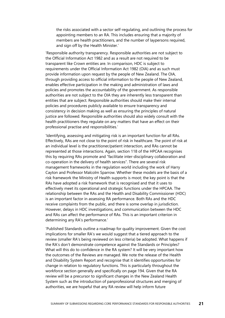the risks associated with a sector self-regulating, and outlining the process for appointing members to an RA. This includes ensuring that a majority of members are health practitioners, and the number of laypersons required, and sign off by the Health Minister.'

'Responsible authority transparency. Responsible authorities are not subject to the Official Information Act 1982 and as a result are not required to be transparent like Crown entities are. In comparison, HDC is subject to requirements under the Official Information Act 1982 (OIA) and as such must provide information upon request by the people of New Zealand. The OIA, through providing access to official information to the people of New Zealand, enables effective participation in the making and administration of laws and policies and promotes the accountability of the government. As responsible authorities are not subject to the OIA they are inherently less transparent than entities that are subject. Responsible authorities should make their internal policies and procedures publicly available to ensure transparency and consistency in decision making as well as ensuring the principles of natural justice are followed. Responsible authorities should also widely consult with the health practitioners they regulate on any matters that have an effect on their professional practise and responsibilities.'

'Identifying, assessing and mitigating risk is an important function for all RAs. Effectively, RAs are not close to the point of risk in healthcare. The point of risk at an individual level is the practitioner/patient interaction, and RAs cannot be represented at those interactions. Again, section 118 of the HPCAA recognises this by requiring RAs promote and "facilitate inter-disciplinary collaboration and co-operation in the delivery of health services". There are several risk management frameworks in the regulation world including the work of Harry Cayton and Professor Malcolm Sparrow. Whether these models are the basis of a risk framework the Ministry of Health supports is moot; the key point is that the RAs have adopted a risk framework that is recognised and that it uses to effectively meet its operational and strategic functions under the HPCAA. The relationship between the RAs and the Health and Disability Commissioner (HDC) is an important factor in assessing RA performance. Both RAs and the HDC receive complaints from the public, and there is some overlap in jurisdiction. However, delays in HDC investigations, and communication between the HDC and RAs can affect the performance of RAs. This is an important criterion in determining any RA's performance.'

'Published Standards outline a roadmap for quality improvement. Given the cost implications for smaller RA's we would suggest that a tiered approach to the review (smaller RA's being reviewed on less criteria) be adopted. What happens if the RA's don't demonstrate competence against the Standards or Principles? What will this do to confidence in the RA system? It will be very important how the outcomes of the Reviews are managed. We note the release of the Health and Disability System Report and recognise that it identifies opportunities for change in relation to regulatory functions. This is particularly throughout the workforce section generally and specifically on page 194. Given that the RA review will be a precursor to significant changes in the New Zealand Health System such as the introduction of panprofessional structures and merging of authorities, we are hopeful that any RA review will help inform future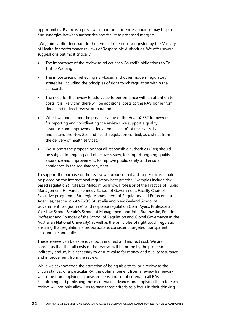opportunities. By focusing reviews in part on efficiencies, findings may help to find synergies between authorities and facilitate proposed mergers.'

'[We] jointly offer feedback to the terms of reference suggested by the Ministry of Health for performance reviews of Responsible Authorities. We offer several suggestions but most critically:

- The importance of the review to reflect each Council's obligations to Te Tiriti o Waitangi.
- The importance of reflecting risk-based and other modern regulatory strategies, including the principles of right touch regulation within the standards.
- The need for the review to add value to performance with an attention to costs. It is likely that there will be additional costs to the RA's borne from direct and indirect review preparation.
- Whilst we understand the possible value of the HealthCERT framework for reporting and coordinating the reviews, we support a quality assurance and improvement lens from a "team" of reviewers that understand the New Zealand health regulation context, as distinct from the delivery of health services.
- We support the proposition that all responsible authorities (RAs) should be subject to ongoing and objective review, to support ongoing quality assurance and improvement, to improve public safety and ensure confidence in the regulatory system.

To support the purpose of the review we propose that a stronger focus should be placed on the international regulatory best practice. Examples include riskbased regulation (Professor Malcolm Sparrow, Professor of the Practice of Public Management, Harvard's Kennedy School of Government, Faculty Chair of Executive programme Strategic Management of Regulatory and Enforcement Agencies, teacher on ANZSOG [Australia and New Zealand School of Government] programme), and response regulation (John Ayers, Professor at Yale Law School & Yale's School of Management and John Braithwaite, Emeritus Professor and Founder of the School of Regulation and Global Governance at the Australian National University) as well as the principles of right touch regulation, ensuring that regulation is proportionate, consistent, targeted, transparent, accountable and agile.

These reviews can be expensive, both in direct and indirect cost. We are conscious that the full costs of the reviews will be borne by the profession indirectly and so, it is necessary to ensure value for money and quality assurance and improvement from the review.

While we acknowledge the attraction of being able to tailor a review to the circumstances of a particular RA, the optimal benefit from a review framework will come from applying a consistent lens and set of criteria to all RAs. Establishing and publishing those criteria in advance, and applying them to each review, will not only allow RAs to have those criteria as a focus in their thinking